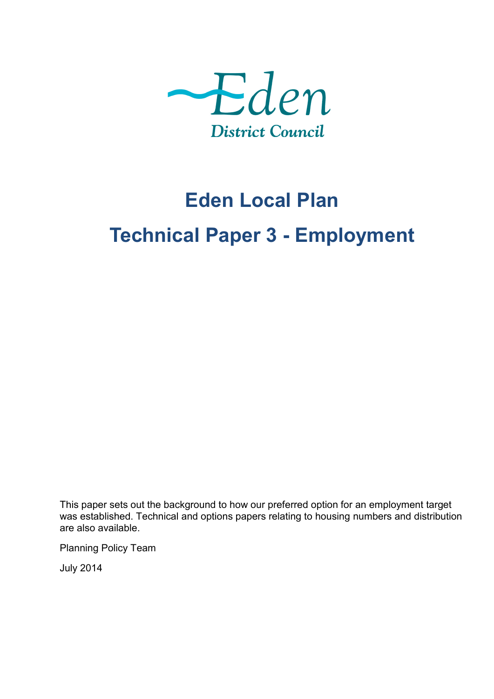

# **Eden Local Plan Technical Paper 3 - Employment**

This paper sets out the background to how our preferred option for an employment target was established. Technical and options papers relating to housing numbers and distribution are also available.

Planning Policy Team

July 2014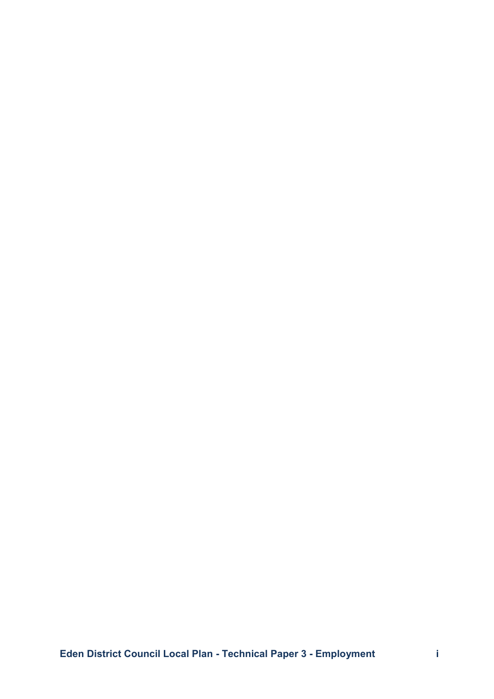**Eden District Council Local Plan - Technical Paper 3 - Employment i**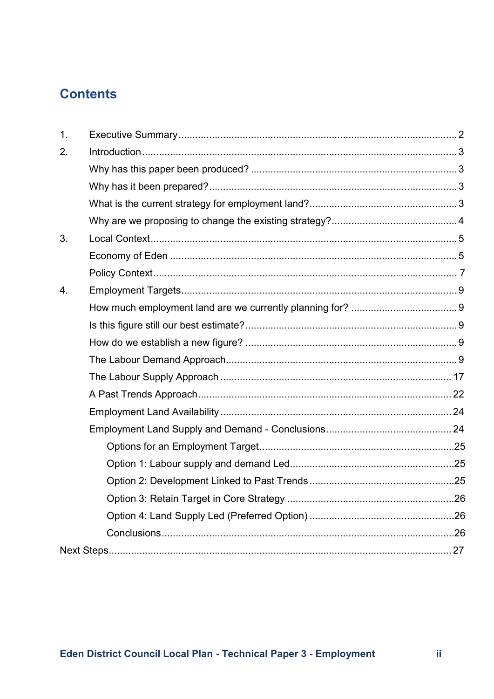# **Contents**

| 1. |  |
|----|--|
| 2. |  |
|    |  |
|    |  |
|    |  |
|    |  |
| 3. |  |
|    |  |
|    |  |
| 4. |  |
|    |  |
|    |  |
|    |  |
|    |  |
|    |  |
|    |  |
|    |  |
|    |  |
|    |  |
|    |  |
|    |  |
|    |  |
|    |  |
|    |  |
|    |  |
|    |  |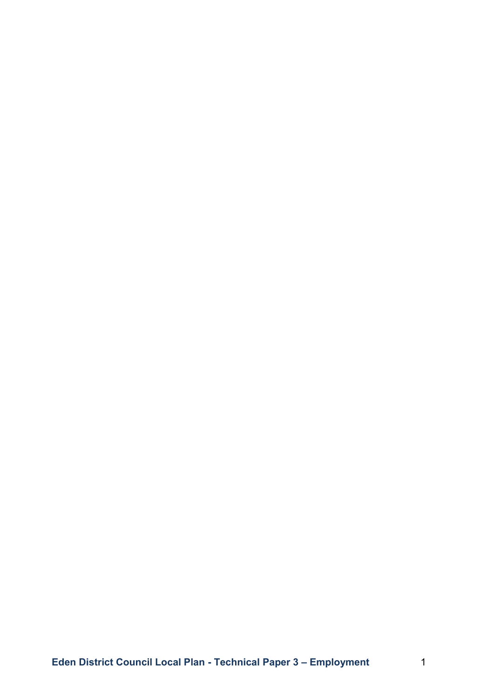**Eden District Council Local Plan - Technical Paper 3 – Employment** 1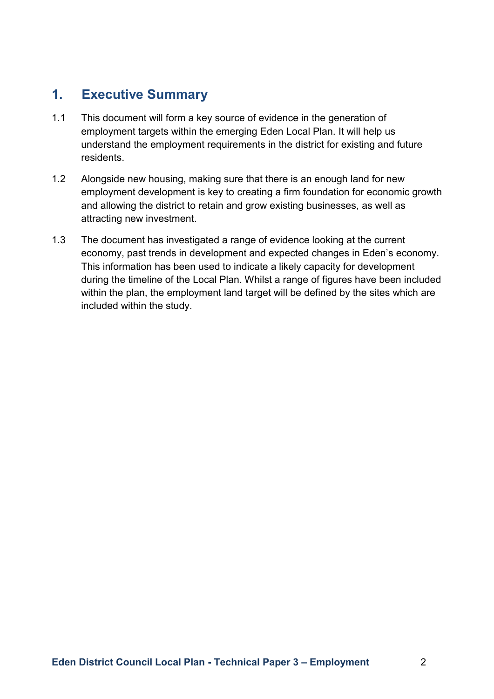# **1. Executive Summary**

- 1.1 This document will form a key source of evidence in the generation of employment targets within the emerging Eden Local Plan. It will help us understand the employment requirements in the district for existing and future residents.
- 1.2 Alongside new housing, making sure that there is an enough land for new employment development is key to creating a firm foundation for economic growth and allowing the district to retain and grow existing businesses, as well as attracting new investment.
- 1.3 The document has investigated a range of evidence looking at the current economy, past trends in development and expected changes in Eden's economy. This information has been used to indicate a likely capacity for development during the timeline of the Local Plan. Whilst a range of figures have been included within the plan, the employment land target will be defined by the sites which are included within the study.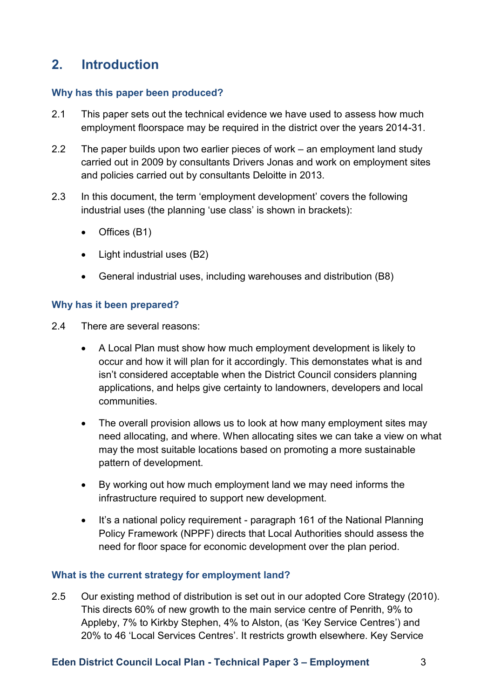# **2. Introduction**

## **Why has this paper been produced?**

- 2.1 This paper sets out the technical evidence we have used to assess how much employment floorspace may be required in the district over the years 2014-31.
- 2.2 The paper builds upon two earlier pieces of work an employment land study carried out in 2009 by consultants Drivers Jonas and work on employment sites and policies carried out by consultants Deloitte in 2013.
- 2.3 In this document, the term 'employment development' covers the following industrial uses (the planning 'use class' is shown in brackets):
	- Offices (B1)
	- Light industrial uses (B2)
	- General industrial uses, including warehouses and distribution (B8)

#### **Why has it been prepared?**

- 2.4 There are several reasons:
	- A Local Plan must show how much employment development is likely to occur and how it will plan for it accordingly. This demonstates what is and isn't considered acceptable when the District Council considers planning applications, and helps give certainty to landowners, developers and local communities.
	- The overall provision allows us to look at how many employment sites may need allocating, and where. When allocating sites we can take a view on what may the most suitable locations based on promoting a more sustainable pattern of development.
	- By working out how much employment land we may need informs the infrastructure required to support new development.
	- It's a national policy requirement paragraph 161 of the National Planning Policy Framework (NPPF) directs that Local Authorities should assess the need for floor space for economic development over the plan period.

#### **What is the current strategy for employment land?**

2.5 Our existing method of distribution is set out in our adopted Core Strategy (2010). This directs 60% of new growth to the main service centre of Penrith, 9% to Appleby, 7% to Kirkby Stephen, 4% to Alston, (as 'Key Service Centres') and 20% to 46 'Local Services Centres'. It restricts growth elsewhere. Key Service

#### **Eden District Council Local Plan - Technical Paper 3 – Employment** 3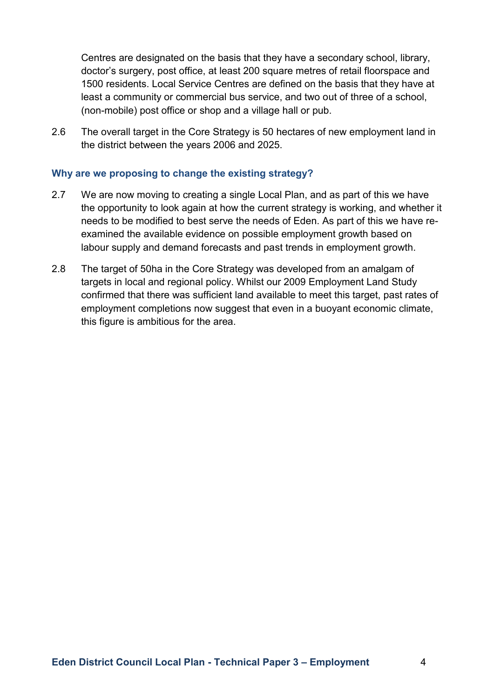Centres are designated on the basis that they have a secondary school, library, doctor's surgery, post office, at least 200 square metres of retail floorspace and 1500 residents. Local Service Centres are defined on the basis that they have at least a community or commercial bus service, and two out of three of a school, (non-mobile) post office or shop and a village hall or pub.

2.6 The overall target in the Core Strategy is 50 hectares of new employment land in the district between the years 2006 and 2025.

#### **Why are we proposing to change the existing strategy?**

- 2.7 We are now moving to creating a single Local Plan, and as part of this we have the opportunity to look again at how the current strategy is working, and whether it needs to be modified to best serve the needs of Eden. As part of this we have reexamined the available evidence on possible employment growth based on labour supply and demand forecasts and past trends in employment growth.
- 2.8 The target of 50ha in the Core Strategy was developed from an amalgam of targets in local and regional policy. Whilst our 2009 Employment Land Study confirmed that there was sufficient land available to meet this target, past rates of employment completions now suggest that even in a buoyant economic climate, this figure is ambitious for the area.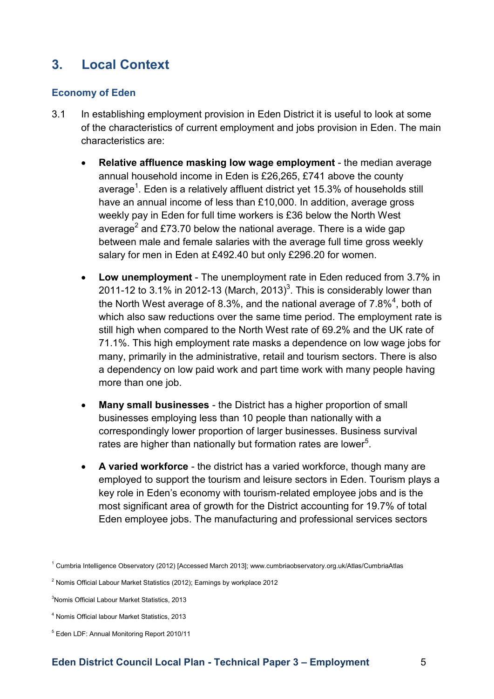# **3. Local Context**

# **Economy of Eden**

- 3.1 In establishing employment provision in Eden District it is useful to look at some of the characteristics of current employment and jobs provision in Eden. The main characteristics are:
	- **Relative affluence masking low wage employment** the median average annual household income in Eden is £26,265, £741 above the county average<sup>1</sup>. Eden is a relatively affluent district yet 15.3% of households still have an annual income of less than £10,000. In addition, average gross weekly pay in Eden for full time workers is £36 below the North West average<sup>2</sup> and £73.70 below the national average. There is a wide gap between male and female salaries with the average full time gross weekly salary for men in Eden at £492.40 but only £296.20 for women.
	- **Low unemployment** The unemployment rate in Eden reduced from 3.7% in 2011-12 to 3.1% in 2012-13 (March, 2013)<sup>3</sup>. This is considerably lower than the North West average of 8.3%, and the national average of 7.8%<sup>4</sup>, both of which also saw reductions over the same time period. The employment rate is still high when compared to the North West rate of 69.2% and the UK rate of 71.1%. This high employment rate masks a dependence on low wage jobs for many, primarily in the administrative, retail and tourism sectors. There is also a dependency on low paid work and part time work with many people having more than one job.
	- **Many small businesses** the District has a higher proportion of small businesses employing less than 10 people than nationally with a correspondingly lower proportion of larger businesses. Business survival rates are higher than nationally but formation rates are lower<sup>5</sup>.
	- **A varied workforce** the district has a varied workforce, though many are employed to support the tourism and leisure sectors in Eden. Tourism plays a key role in Eden's economy with tourism-related employee jobs and is the most significant area of growth for the District accounting for 19.7% of total Eden employee jobs. The manufacturing and professional services sectors

<sup>1</sup> Cumbria Intelligence Observatory (2012) [Accessed March 2013]; www.cumbriaobservatory.org.uk/Atlas/CumbriaAtlas

<sup>2</sup> Nomis Official Labour Market Statistics (2012); Earnings by workplace 2012

<sup>3</sup>Nomis Official Labour Market Statistics, 2013

<sup>4</sup> Nomis Official labour Market Statistics, 2013

<sup>5</sup> Eden LDF: Annual Monitoring Report 2010/11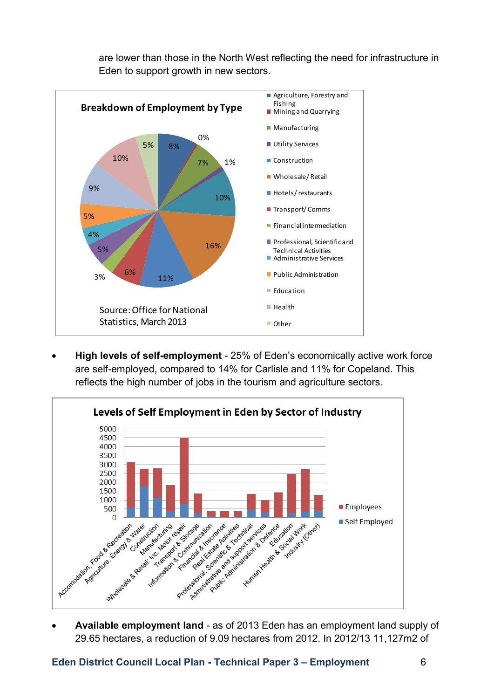

are lower than those in the North West reflecting the need for infrastructure in Eden to support growth in new sectors.

 **High levels of self-employment** - 25% of Eden's economically active work force are self-employed, compared to 14% for Carlisle and 11% for Copeland. This reflects the high number of jobs in the tourism and agriculture sectors.



 **Available employment land** - as of 2013 Eden has an employment land supply of 29.65 hectares, a reduction of 9.09 hectares from 2012. In 2012/13 11,127m2 of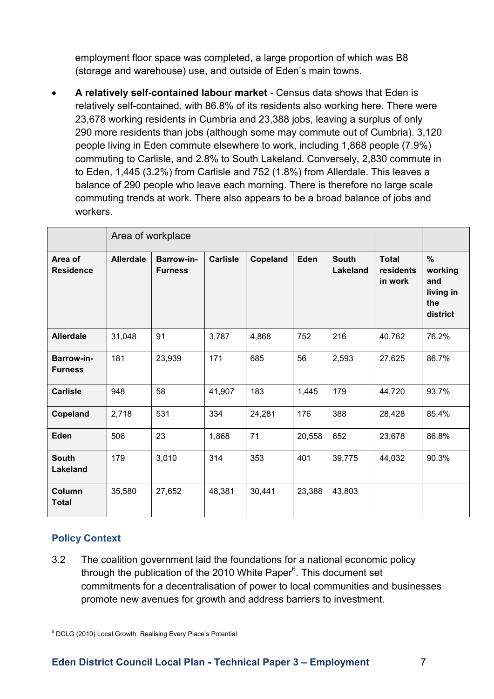employment floor space was completed, a large proportion of which was B8 (storage and warehouse) use, and outside of Eden's main towns.

 **A relatively self-contained labour market -** Census data shows that Eden is relatively self-contained, with 86.8% of its residents also working here. There were 23,678 working residents in Cumbria and 23,388 jobs, leaving a surplus of only 290 more residents than jobs (although some may commute out of Cumbria). 3,120 people living in Eden commute elsewhere to work, including 1,868 people (7.9%) commuting to Carlisle, and 2.8% to South Lakeland. Conversely, 2,830 commute in to Eden, 1,445 (3.2%) from Carlisle and 752 (1.8%) from Allerdale. This leaves a balance of 290 people who leave each morning. There is therefore no large scale commuting trends at work. There also appears to be a broad balance of jobs and workers.

|                              |                  | Area of workplace                   |                 |          |        |                          |                                      |                                                        |
|------------------------------|------------------|-------------------------------------|-----------------|----------|--------|--------------------------|--------------------------------------|--------------------------------------------------------|
| Area of<br><b>Residence</b>  | <b>Allerdale</b> | <b>Barrow-in-</b><br><b>Furness</b> | <b>Carlisle</b> | Copeland | Eden   | <b>South</b><br>Lakeland | <b>Total</b><br>residents<br>in work | $\%$<br>working<br>and<br>living in<br>the<br>district |
| <b>Allerdale</b>             | 31,048           | 91                                  | 3,787           | 4,868    | 752    | 216                      | 40,762                               | 76.2%                                                  |
| Barrow-in-<br><b>Furness</b> | 181              | 23,939                              | 171             | 685      | 56     | 2,593                    | 27,625                               | 86.7%                                                  |
| <b>Carlisle</b>              | 948              | 58                                  | 41,907          | 183      | 1,445  | 179                      | 44,720                               | 93.7%                                                  |
| Copeland                     | 2,718            | 531                                 | 334             | 24,281   | 176    | 388                      | 28,428                               | 85.4%                                                  |
| Eden                         | 506              | 23                                  | 1,868           | 71       | 20,558 | 652                      | 23,678                               | 86.8%                                                  |
| <b>South</b><br>Lakeland     | 179              | 3,010                               | 314             | 353      | 401    | 39,775                   | 44,032                               | 90.3%                                                  |
| Column<br><b>Total</b>       | 35,580           | 27,652                              | 48,381          | 30,441   | 23,388 | 43,803                   |                                      |                                                        |

# **Policy Context**

3.2 The coalition government laid the foundations for a national economic policy through the publication of the 2010 White Paper<sup>6</sup>. This document set commitments for a decentralisation of power to local communities and businesses promote new avenues for growth and address barriers to investment.

<sup>6</sup> DCLG (2010) Local Growth: Realising Every Place's Potential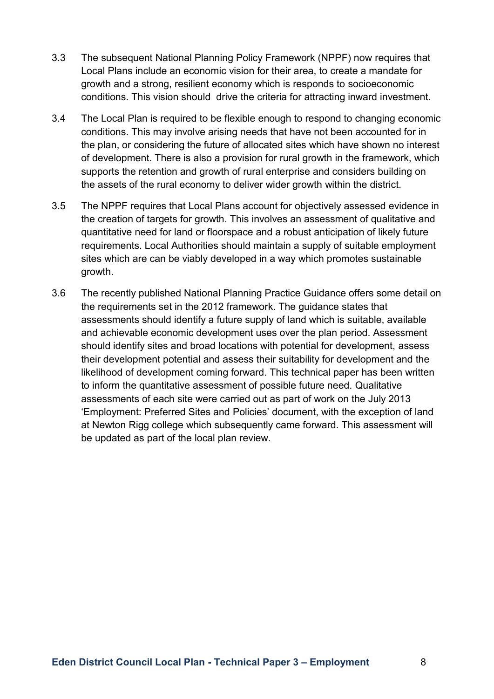- 3.3 The subsequent National Planning Policy Framework (NPPF) now requires that Local Plans include an economic vision for their area, to create a mandate for growth and a strong, resilient economy which is responds to socioeconomic conditions. This vision should drive the criteria for attracting inward investment.
- 3.4 The Local Plan is required to be flexible enough to respond to changing economic conditions. This may involve arising needs that have not been accounted for in the plan, or considering the future of allocated sites which have shown no interest of development. There is also a provision for rural growth in the framework, which supports the retention and growth of rural enterprise and considers building on the assets of the rural economy to deliver wider growth within the district.
- 3.5 The NPPF requires that Local Plans account for objectively assessed evidence in the creation of targets for growth. This involves an assessment of qualitative and quantitative need for land or floorspace and a robust anticipation of likely future requirements. Local Authorities should maintain a supply of suitable employment sites which are can be viably developed in a way which promotes sustainable growth.
- 3.6 The recently published National Planning Practice Guidance offers some detail on the requirements set in the 2012 framework. The guidance states that assessments should identify a future supply of land which is suitable, available and achievable economic development uses over the plan period. Assessment should identify sites and broad locations with potential for development, assess their development potential and assess their suitability for development and the likelihood of development coming forward. This technical paper has been written to inform the quantitative assessment of possible future need. Qualitative assessments of each site were carried out as part of work on the July 2013 'Employment: Preferred Sites and Policies' document, with the exception of land at Newton Rigg college which subsequently came forward. This assessment will be updated as part of the local plan review.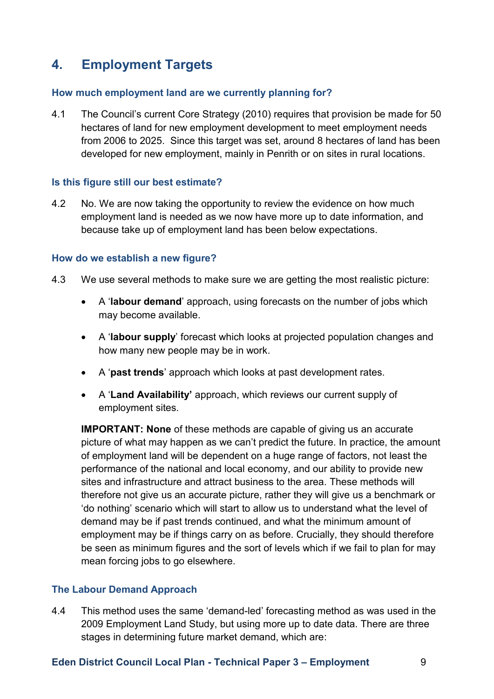# **4. Employment Targets**

#### **How much employment land are we currently planning for?**

4.1 The Council's current Core Strategy (2010) requires that provision be made for 50 hectares of land for new employment development to meet employment needs from 2006 to 2025. Since this target was set, around 8 hectares of land has been developed for new employment, mainly in Penrith or on sites in rural locations.

#### **Is this figure still our best estimate?**

4.2 No. We are now taking the opportunity to review the evidence on how much employment land is needed as we now have more up to date information, and because take up of employment land has been below expectations.

#### **How do we establish a new figure?**

- 4.3 We use several methods to make sure we are getting the most realistic picture:
	- A '**labour demand**' approach, using forecasts on the number of jobs which may become available.
	- A '**labour supply**' forecast which looks at projected population changes and how many new people may be in work.
	- A '**past trends**' approach which looks at past development rates.
	- A '**Land Availability'** approach, which reviews our current supply of employment sites.

**IMPORTANT: None** of these methods are capable of giving us an accurate picture of what may happen as we can't predict the future. In practice, the amount of employment land will be dependent on a huge range of factors, not least the performance of the national and local economy, and our ability to provide new sites and infrastructure and attract business to the area. These methods will therefore not give us an accurate picture, rather they will give us a benchmark or 'do nothing' scenario which will start to allow us to understand what the level of demand may be if past trends continued, and what the minimum amount of employment may be if things carry on as before. Crucially, they should therefore be seen as minimum figures and the sort of levels which if we fail to plan for may mean forcing jobs to go elsewhere.

#### **The Labour Demand Approach**

4.4 This method uses the same 'demand-led' forecasting method as was used in the 2009 Employment Land Study, but using more up to date data. There are three stages in determining future market demand, which are:

#### **Eden District Council Local Plan - Technical Paper 3 – Employment** 9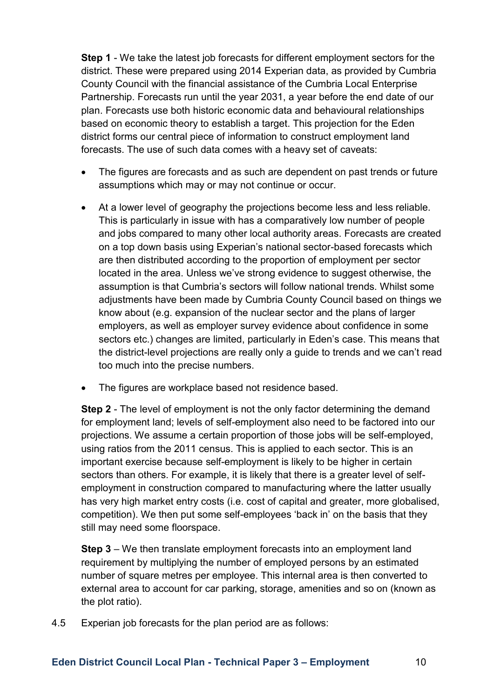**Step 1** - We take the latest job forecasts for different employment sectors for the district. These were prepared using 2014 Experian data, as provided by Cumbria County Council with the financial assistance of the Cumbria Local Enterprise Partnership. Forecasts run until the year 2031, a year before the end date of our plan. Forecasts use both historic economic data and behavioural relationships based on economic theory to establish a target. This projection for the Eden district forms our central piece of information to construct employment land forecasts. The use of such data comes with a heavy set of caveats:

- The figures are forecasts and as such are dependent on past trends or future assumptions which may or may not continue or occur.
- At a lower level of geography the projections become less and less reliable. This is particularly in issue with has a comparatively low number of people and jobs compared to many other local authority areas. Forecasts are created on a top down basis using Experian's national sector-based forecasts which are then distributed according to the proportion of employment per sector located in the area. Unless we've strong evidence to suggest otherwise, the assumption is that Cumbria's sectors will follow national trends. Whilst some adjustments have been made by Cumbria County Council based on things we know about (e.g. expansion of the nuclear sector and the plans of larger employers, as well as employer survey evidence about confidence in some sectors etc.) changes are limited, particularly in Eden's case. This means that the district-level projections are really only a guide to trends and we can't read too much into the precise numbers.
- The figures are workplace based not residence based.

**Step 2** - The level of employment is not the only factor determining the demand for employment land; levels of self-employment also need to be factored into our projections. We assume a certain proportion of those jobs will be self-employed, using ratios from the 2011 census. This is applied to each sector. This is an important exercise because self-employment is likely to be higher in certain sectors than others. For example, it is likely that there is a greater level of selfemployment in construction compared to manufacturing where the latter usually has very high market entry costs (i.e. cost of capital and greater, more globalised, competition). We then put some self-employees 'back in' on the basis that they still may need some floorspace.

**Step 3** – We then translate employment forecasts into an employment land requirement by multiplying the number of employed persons by an estimated number of square metres per employee. This internal area is then converted to external area to account for car parking, storage, amenities and so on (known as the plot ratio).

4.5 Experian job forecasts for the plan period are as follows: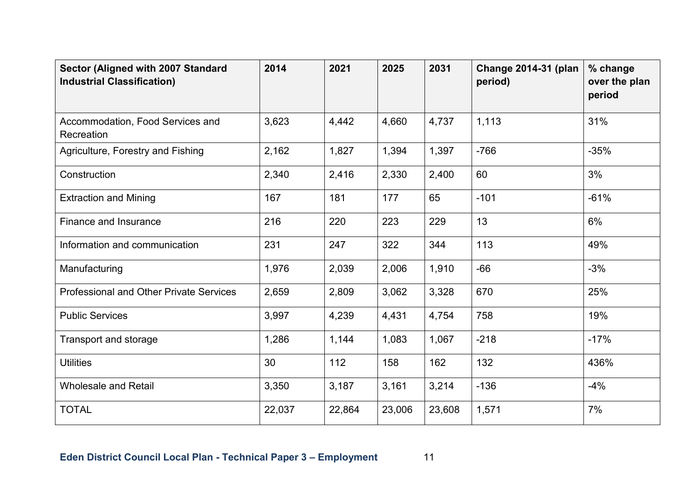| Sector (Aligned with 2007 Standard<br><b>Industrial Classification)</b> | 2014   | 2021   | 2025   | 2031   | <b>Change 2014-31 (plan</b><br>period) | % change<br>over the plan<br>period |
|-------------------------------------------------------------------------|--------|--------|--------|--------|----------------------------------------|-------------------------------------|
| Accommodation, Food Services and<br>Recreation                          | 3,623  | 4,442  | 4,660  | 4,737  | 1,113                                  | 31%                                 |
| Agriculture, Forestry and Fishing                                       | 2,162  | 1,827  | 1,394  | 1,397  | $-766$                                 | $-35%$                              |
| Construction                                                            | 2,340  | 2,416  | 2,330  | 2,400  | 60                                     | 3%                                  |
| <b>Extraction and Mining</b>                                            | 167    | 181    | 177    | 65     | $-101$                                 | $-61%$                              |
| Finance and Insurance                                                   | 216    | 220    | 223    | 229    | 13                                     | 6%                                  |
| Information and communication                                           | 231    | 247    | 322    | 344    | 113                                    | 49%                                 |
| Manufacturing                                                           | 1,976  | 2,039  | 2,006  | 1,910  | $-66$                                  | $-3%$                               |
| <b>Professional and Other Private Services</b>                          | 2,659  | 2,809  | 3,062  | 3,328  | 670                                    | 25%                                 |
| <b>Public Services</b>                                                  | 3,997  | 4,239  | 4,431  | 4,754  | 758                                    | 19%                                 |
| Transport and storage                                                   | 1,286  | 1,144  | 1,083  | 1,067  | $-218$                                 | $-17%$                              |
| <b>Utilities</b>                                                        | 30     | 112    | 158    | 162    | 132                                    | 436%                                |
| <b>Wholesale and Retail</b>                                             | 3,350  | 3,187  | 3,161  | 3,214  | $-136$                                 | $-4%$                               |
| <b>TOTAL</b>                                                            | 22,037 | 22,864 | 23,006 | 23,608 | 1,571                                  | 7%                                  |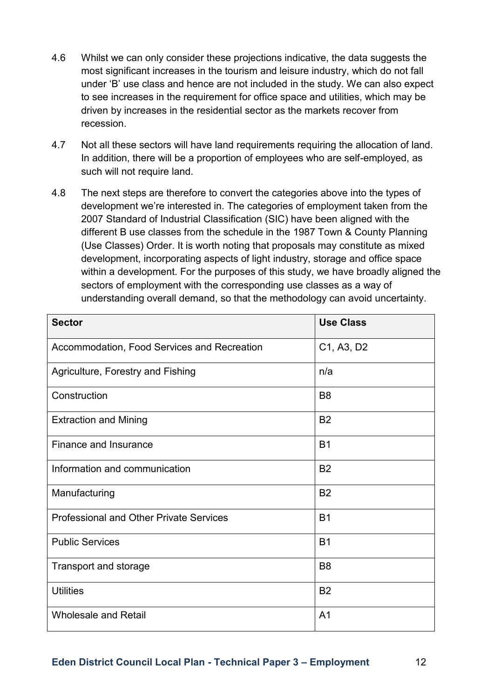- 4.6 Whilst we can only consider these projections indicative, the data suggests the most significant increases in the tourism and leisure industry, which do not fall under 'B' use class and hence are not included in the study. We can also expect to see increases in the requirement for office space and utilities, which may be driven by increases in the residential sector as the markets recover from recession.
- 4.7 Not all these sectors will have land requirements requiring the allocation of land. In addition, there will be a proportion of employees who are self-employed, as such will not require land.
- 4.8 The next steps are therefore to convert the categories above into the types of development we're interested in. The categories of employment taken from the 2007 Standard of Industrial Classification (SIC) have been aligned with the different B use classes from the schedule in the 1987 Town & County Planning (Use Classes) Order. It is worth noting that proposals may constitute as mixed development, incorporating aspects of light industry, storage and office space within a development. For the purposes of this study, we have broadly aligned the sectors of employment with the corresponding use classes as a way of understanding overall demand, so that the methodology can avoid uncertainty.

| <b>Sector</b>                                  | <b>Use Class</b> |
|------------------------------------------------|------------------|
| Accommodation, Food Services and Recreation    | C1, A3, D2       |
| Agriculture, Forestry and Fishing              | n/a              |
| Construction                                   | B <sub>8</sub>   |
| <b>Extraction and Mining</b>                   | <b>B2</b>        |
| Finance and Insurance                          | <b>B1</b>        |
| Information and communication                  | <b>B2</b>        |
| Manufacturing                                  | <b>B2</b>        |
| <b>Professional and Other Private Services</b> | <b>B1</b>        |
| <b>Public Services</b>                         | <b>B1</b>        |
| Transport and storage                          | B <sub>8</sub>   |
| <b>Utilities</b>                               | <b>B2</b>        |
| <b>Wholesale and Retail</b>                    | A <sub>1</sub>   |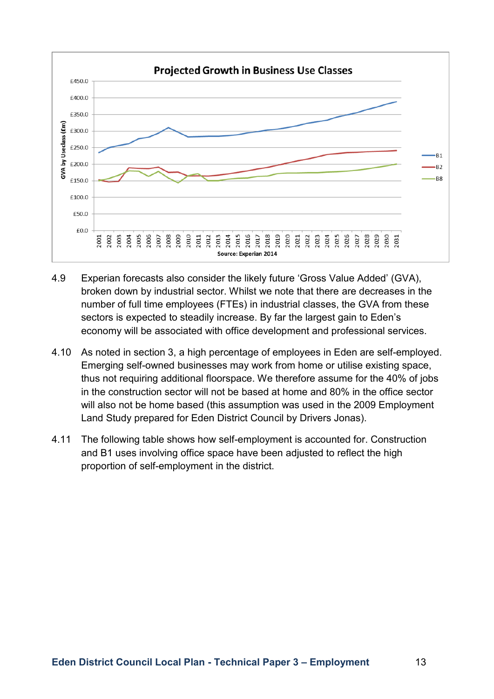

- 4.9 Experian forecasts also consider the likely future 'Gross Value Added' (GVA), broken down by industrial sector. Whilst we note that there are decreases in the number of full time employees (FTEs) in industrial classes, the GVA from these sectors is expected to steadily increase. By far the largest gain to Eden's economy will be associated with office development and professional services.
- 4.10 As noted in section 3, a high percentage of employees in Eden are self-employed. Emerging self-owned businesses may work from home or utilise existing space, thus not requiring additional floorspace. We therefore assume for the 40% of jobs in the construction sector will not be based at home and 80% in the office sector will also not be home based (this assumption was used in the 2009 Employment Land Study prepared for Eden District Council by Drivers Jonas).
- 4.11 The following table shows how self-employment is accounted for. Construction and B1 uses involving office space have been adjusted to reflect the high proportion of self-employment in the district.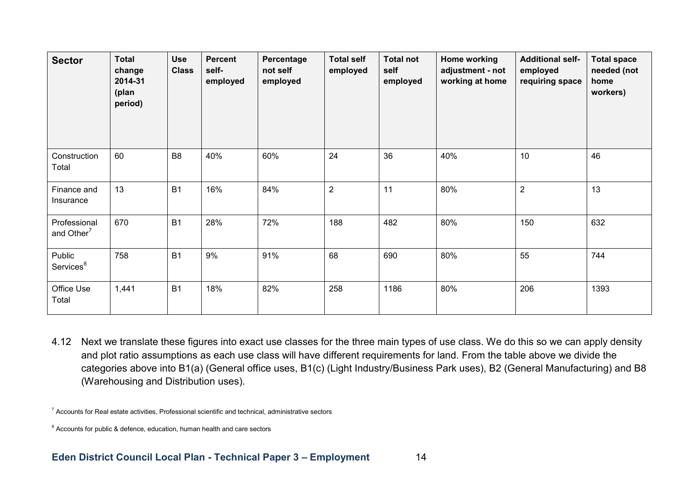| <b>Sector</b>                          | <b>Total</b><br>change<br>2014-31<br>(plan<br>period) | <b>Use</b><br><b>Class</b> | <b>Percent</b><br>self-<br>employed | Percentage<br>not self<br>employed | <b>Total self</b><br>employed | <b>Total not</b><br>self<br>employed | Home working<br>adjustment - not<br>working at home | <b>Additional self-</b><br>employed<br>requiring space | <b>Total space</b><br>needed (not<br>home<br>workers) |
|----------------------------------------|-------------------------------------------------------|----------------------------|-------------------------------------|------------------------------------|-------------------------------|--------------------------------------|-----------------------------------------------------|--------------------------------------------------------|-------------------------------------------------------|
| Construction<br>Total                  | 60                                                    | B <sub>8</sub>             | 40%                                 | 60%                                | 24                            | 36                                   | 40%                                                 | 10                                                     | 46                                                    |
| Finance and<br>Insurance               | 13                                                    | <b>B1</b>                  | 16%                                 | 84%                                | $\overline{2}$                | 11                                   | 80%                                                 | $\overline{2}$                                         | 13                                                    |
| Professional<br>and Other <sup>7</sup> | 670                                                   | <b>B1</b>                  | 28%                                 | 72%                                | 188                           | 482                                  | 80%                                                 | 150                                                    | 632                                                   |
| Public<br>Services <sup>8</sup>        | 758                                                   | <b>B1</b>                  | 9%                                  | 91%                                | 68                            | 690                                  | 80%                                                 | 55                                                     | 744                                                   |
| Office Use<br>Total                    | 1,441                                                 | <b>B1</b>                  | 18%                                 | 82%                                | 258                           | 1186                                 | 80%                                                 | 206                                                    | 1393                                                  |

4.12 Next we translate these figures into exact use classes for the three main types of use class. We do this so we can apply density and plot ratio assumptions as each use class will have different requirements for land. From the table above we divide the categories above into B1(a) (General office uses, B1(c) (Light Industry/Business Park uses), B2 (General Manufacturing) and B8 (Warehousing and Distribution uses).

 $7$  Accounts for Real estate activities. Professional scientific and technical, administrative sectors

<sup>&</sup>lt;sup>8</sup> Accounts for public & defence, education, human health and care sectors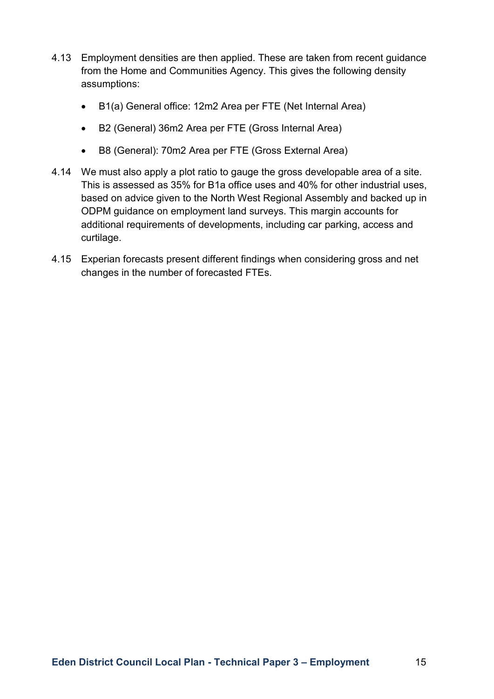- 4.13 Employment densities are then applied. These are taken from recent guidance from the Home and Communities Agency. This gives the following density assumptions:
	- B1(a) General office: 12m2 Area per FTE (Net Internal Area)
	- B2 (General) 36m2 Area per FTE (Gross Internal Area)
	- B8 (General): 70m2 Area per FTE (Gross External Area)
- 4.14 We must also apply a plot ratio to gauge the gross developable area of a site. This is assessed as 35% for B1a office uses and 40% for other industrial uses, based on advice given to the North West Regional Assembly and backed up in ODPM guidance on employment land surveys. This margin accounts for additional requirements of developments, including car parking, access and curtilage.
- 4.15 Experian forecasts present different findings when considering gross and net changes in the number of forecasted FTEs.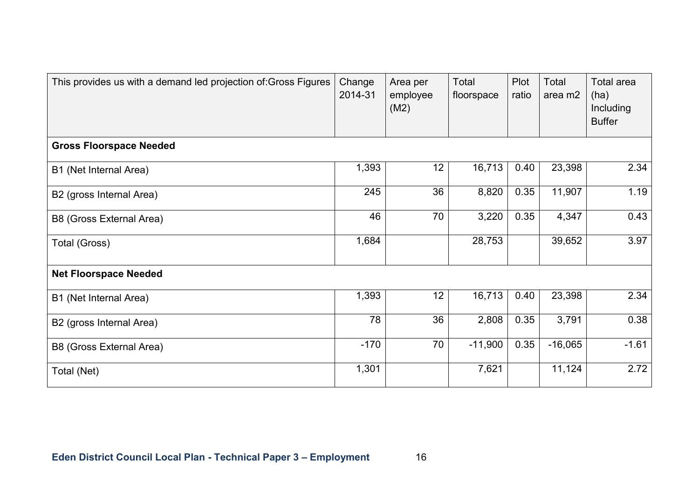| This provides us with a demand led projection of: Gross Figures | Change<br>2014-31 | Area per<br>employee<br>(M2) | Total<br>floorspace | Plot<br>ratio | Total<br>area m2 | <b>Total area</b><br>(ha)<br>Including<br><b>Buffer</b> |
|-----------------------------------------------------------------|-------------------|------------------------------|---------------------|---------------|------------------|---------------------------------------------------------|
| <b>Gross Floorspace Needed</b>                                  |                   |                              |                     |               |                  |                                                         |
| B1 (Net Internal Area)                                          | 1,393             | 12                           | 16,713              | 0.40          | 23,398           | 2.34                                                    |
| B2 (gross Internal Area)                                        | 245               | 36                           | 8,820               | 0.35          | 11,907           | 1.19                                                    |
| B8 (Gross External Area)                                        | 46                | 70                           | 3,220               | 0.35          | 4,347            | 0.43                                                    |
| Total (Gross)                                                   | 1,684             |                              | 28,753              |               | 39,652           | 3.97                                                    |
| <b>Net Floorspace Needed</b>                                    |                   |                              |                     |               |                  |                                                         |
| B1 (Net Internal Area)                                          | 1,393             | 12                           | 16,713              | 0.40          | 23,398           | 2.34                                                    |
| B2 (gross Internal Area)                                        | 78                | 36                           | 2,808               | 0.35          | 3,791            | 0.38                                                    |
| B8 (Gross External Area)                                        | $-170$            | 70                           | $-11,900$           | 0.35          | $-16,065$        | $-1.61$                                                 |
| Total (Net)                                                     | 1,301             |                              | 7,621               |               | 11,124           | 2.72                                                    |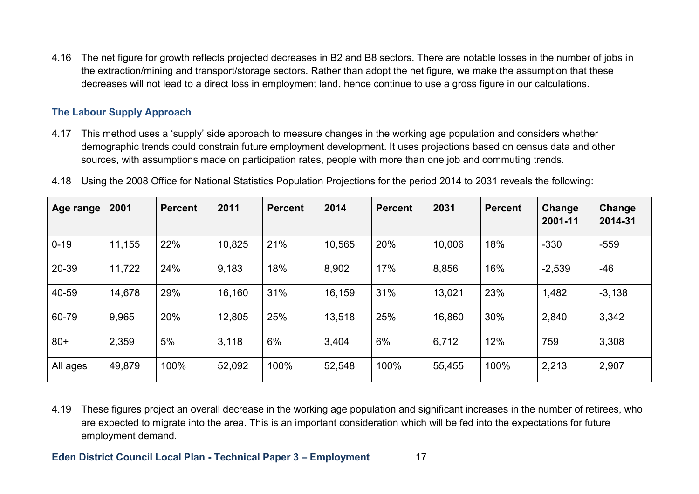4.16 The net figure for growth reflects projected decreases in B2 and B8 sectors. There are notable losses in the number of jobs in the extraction/mining and transport/storage sectors. Rather than adopt the net figure, we make the assumption that these decreases will not lead to a direct loss in employment land, hence continue to use a gross figure in our calculations.

## **The Labour Supply Approach**

- 4.17 This method uses a 'supply' side approach to measure changes in the working age population and considers whether demographic trends could constrain future employment development. It uses projections based on census data and other sources, with assumptions made on participation rates, people with more than one job and commuting trends.
- 4.18 Using the 2008 Office for National Statistics Population Projections for the period 2014 to 2031 reveals the following:

| Age range | 2001   | <b>Percent</b> | 2011   | <b>Percent</b> | 2014   | <b>Percent</b> | 2031   | <b>Percent</b> | Change<br>2001-11 | Change<br>2014-31 |
|-----------|--------|----------------|--------|----------------|--------|----------------|--------|----------------|-------------------|-------------------|
| $0 - 19$  | 11,155 | 22%            | 10,825 | 21%            | 10,565 | 20%            | 10,006 | 18%            | $-330$            | $-559$            |
| 20-39     | 11,722 | 24%            | 9,183  | 18%            | 8,902  | 17%            | 8,856  | 16%            | $-2,539$          | $-46$             |
| 40-59     | 14,678 | 29%            | 16,160 | 31%            | 16,159 | 31%            | 13,021 | 23%            | 1,482             | $-3,138$          |
| 60-79     | 9,965  | 20%            | 12,805 | 25%            | 13,518 | 25%            | 16,860 | 30%            | 2,840             | 3,342             |
| $80+$     | 2,359  | 5%             | 3,118  | 6%             | 3,404  | 6%             | 6,712  | 12%            | 759               | 3,308             |
| All ages  | 49,879 | 100%           | 52,092 | 100%           | 52,548 | 100%           | 55,455 | 100%           | 2,213             | 2,907             |

4.19 These figures project an overall decrease in the working age population and significant increases in the number of retirees, who are expected to migrate into the area. This is an important consideration which will be fed into the expectations for future employment demand.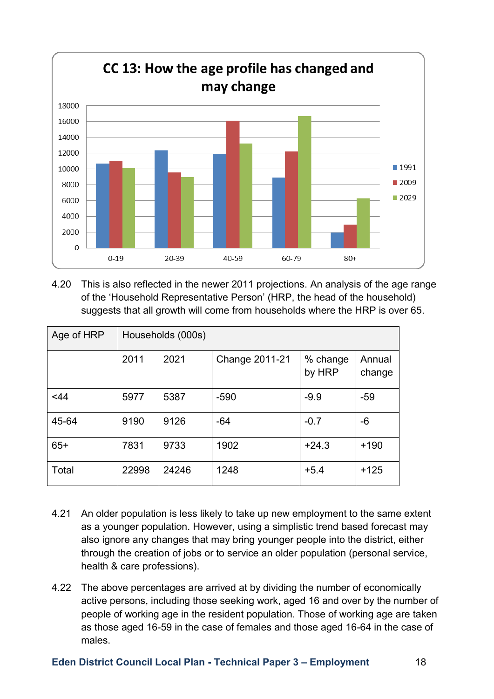

4.20 This is also reflected in the newer 2011 projections. An analysis of the age range of the 'Household Representative Person' (HRP, the head of the household) suggests that all growth will come from households where the HRP is over 65.

| Age of HRP |       | Households (000s) |                |                    |                  |
|------------|-------|-------------------|----------------|--------------------|------------------|
|            | 2011  | 2021              | Change 2011-21 | % change<br>by HRP | Annual<br>change |
| $<$ 44     | 5977  | 5387              | $-590$         | $-9.9$             | -59              |
| 45-64      | 9190  | 9126              | $-64$          | $-0.7$             | -6               |
| $65+$      | 7831  | 9733              | 1902           | $+24.3$            | $+190$           |
| Total      | 22998 | 24246             | 1248           | $+5.4$             | $+125$           |

- 4.21 An older population is less likely to take up new employment to the same extent as a younger population. However, using a simplistic trend based forecast may also ignore any changes that may bring younger people into the district, either through the creation of jobs or to service an older population (personal service, health & care professions).
- 4.22 The above percentages are arrived at by dividing the number of economically active persons, including those seeking work, aged 16 and over by the number of people of working age in the resident population. Those of working age are taken as those aged 16-59 in the case of females and those aged 16-64 in the case of males.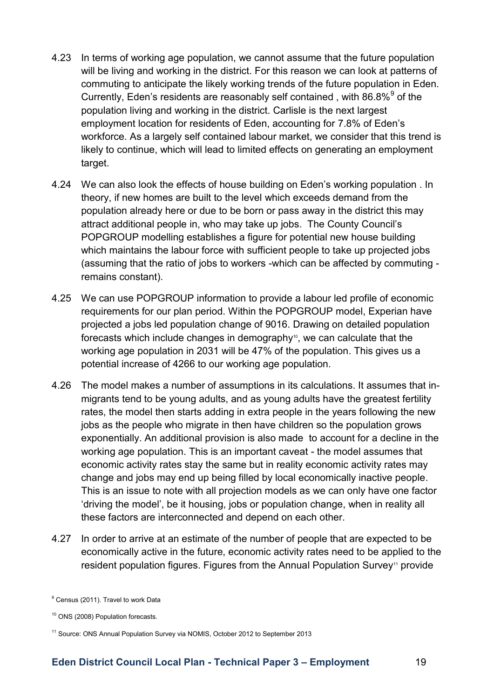- 4.23 In terms of working age population, we cannot assume that the future population will be living and working in the district. For this reason we can look at patterns of commuting to anticipate the likely working trends of the future population in Eden. Currently, Eden's residents are reasonably self contained, with  $86.8\%$ <sup>9</sup> of the population living and working in the district. Carlisle is the next largest employment location for residents of Eden, accounting for 7.8% of Eden's workforce. As a largely self contained labour market, we consider that this trend is likely to continue, which will lead to limited effects on generating an employment target.
- 4.24 We can also look the effects of house building on Eden's working population . In theory, if new homes are built to the level which exceeds demand from the population already here or due to be born or pass away in the district this may attract additional people in, who may take up jobs. The County Council's POPGROUP modelling establishes a figure for potential new house building which maintains the labour force with sufficient people to take up projected jobs (assuming that the ratio of jobs to workers -which can be affected by commuting remains constant).
- 4.25 We can use POPGROUP information to provide a labour led profile of economic requirements for our plan period. Within the POPGROUP model, Experian have projected a jobs led population change of 9016. Drawing on detailed population forecasts which include changes in demography<sup>10</sup>, we can calculate that the working age population in 2031 will be 47% of the population. This gives us a potential increase of 4266 to our working age population.
- 4.26 The model makes a number of assumptions in its calculations. It assumes that inmigrants tend to be young adults, and as young adults have the greatest fertility rates, the model then starts adding in extra people in the years following the new jobs as the people who migrate in then have children so the population grows exponentially. An additional provision is also made to account for a decline in the working age population. This is an important caveat - the model assumes that economic activity rates stay the same but in reality economic activity rates may change and jobs may end up being filled by local economically inactive people. This is an issue to note with all projection models as we can only have one factor 'driving the model', be it housing, jobs or population change, when in reality all these factors are interconnected and depend on each other.
- 4.27 In order to arrive at an estimate of the number of people that are expected to be economically active in the future, economic activity rates need to be applied to the resident population figures. Figures from the Annual Population Survey<sup>11</sup> provide

<sup>&</sup>lt;sup>9</sup> Census (2011). Travel to work Data

<sup>&</sup>lt;sup>10</sup> ONS (2008) Population forecasts.

<sup>&</sup>lt;sup>11</sup> Source: ONS Annual Population Survey via NOMIS, October 2012 to September 2013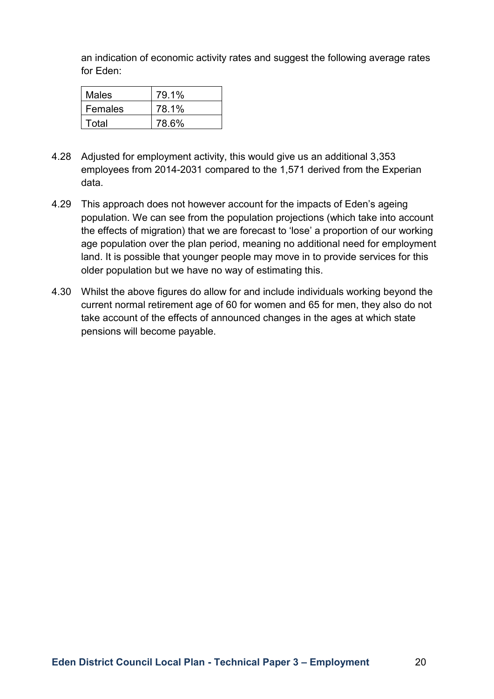an indication of economic activity rates and suggest the following average rates for Eden:

| <b>Males</b> | 79.1% |
|--------------|-------|
| Females      | 78.1% |
| Total        | 78.6% |

- 4.28 Adjusted for employment activity, this would give us an additional 3,353 employees from 2014-2031 compared to the 1,571 derived from the Experian data.
- 4.29 This approach does not however account for the impacts of Eden's ageing population. We can see from the population projections (which take into account the effects of migration) that we are forecast to 'lose' a proportion of our working age population over the plan period, meaning no additional need for employment land. It is possible that younger people may move in to provide services for this older population but we have no way of estimating this.
- 4.30 Whilst the above figures do allow for and include individuals working beyond the current normal retirement age of 60 for women and 65 for men, they also do not take account of the effects of announced changes in the ages at which state pensions will become payable.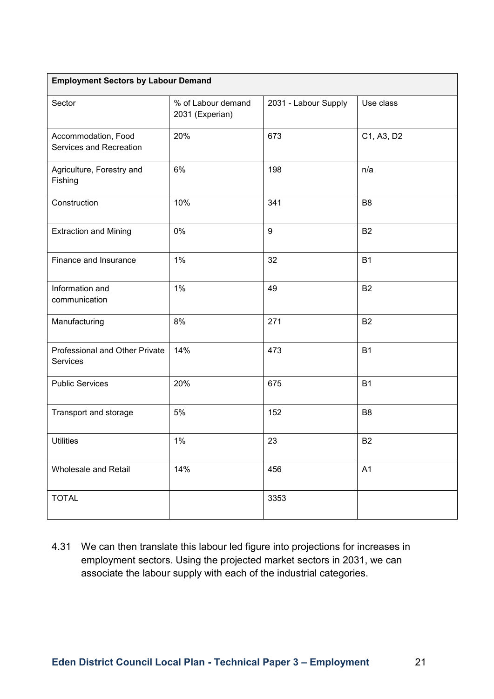| <b>Employment Sectors by Labour Demand</b>     |                                       |                      |                |
|------------------------------------------------|---------------------------------------|----------------------|----------------|
| Sector                                         | % of Labour demand<br>2031 (Experian) | 2031 - Labour Supply | Use class      |
| Accommodation, Food<br>Services and Recreation | 20%                                   | 673                  | C1, A3, D2     |
| Agriculture, Forestry and<br>Fishing           | 6%                                    | 198                  | n/a            |
| Construction                                   | 10%                                   | 341                  | B <sub>8</sub> |
| <b>Extraction and Mining</b>                   | 0%                                    | $\boldsymbol{9}$     | <b>B2</b>      |
| Finance and Insurance                          | 1%                                    | 32                   | <b>B1</b>      |
| Information and<br>communication               | 1%                                    | 49                   | <b>B2</b>      |
| Manufacturing                                  | 8%                                    | 271                  | B <sub>2</sub> |
| Professional and Other Private<br>Services     | 14%                                   | 473                  | <b>B1</b>      |
| <b>Public Services</b>                         | 20%                                   | 675                  | <b>B1</b>      |
| Transport and storage                          | 5%                                    | 152                  | B <sub>8</sub> |
| <b>Utilities</b>                               | $1\%$                                 | 23                   | B <sub>2</sub> |
| Wholesale and Retail                           | 14%                                   | 456                  | A1             |
| <b>TOTAL</b>                                   |                                       | 3353                 |                |

4.31 We can then translate this labour led figure into projections for increases in employment sectors. Using the projected market sectors in 2031, we can associate the labour supply with each of the industrial categories.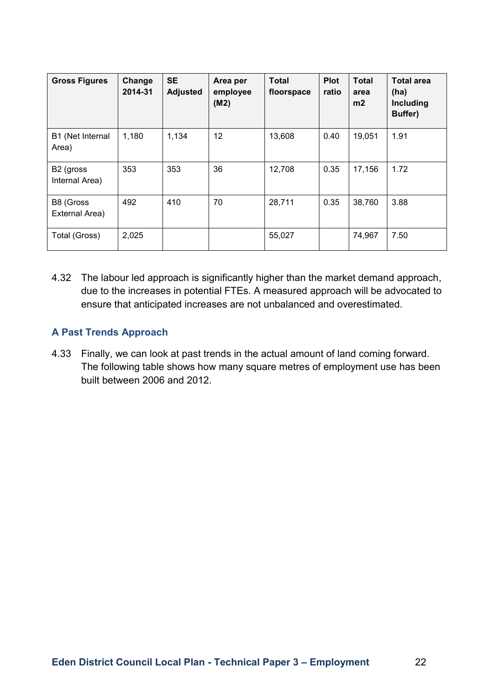| <b>Gross Figures</b>        | Change<br>2014-31 | <b>SE</b><br><b>Adjusted</b> | Area per<br>employee<br>(M2) | <b>Total</b><br>floorspace | <b>Plot</b><br>ratio | <b>Total</b><br>area<br>m2 | <b>Total area</b><br>(ha)<br>Including<br>Buffer) |
|-----------------------------|-------------------|------------------------------|------------------------------|----------------------------|----------------------|----------------------------|---------------------------------------------------|
| B1 (Net Internal<br>Area)   | 1,180             | 1,134                        | 12                           | 13,608                     | 0.40                 | 19,051                     | 1.91                                              |
| B2 (gross<br>Internal Area) | 353               | 353                          | 36                           | 12,708                     | 0.35                 | 17,156                     | 1.72                                              |
| B8 (Gross<br>External Area) | 492               | 410                          | 70                           | 28,711                     | 0.35                 | 38,760                     | 3.88                                              |
| Total (Gross)               | 2,025             |                              |                              | 55,027                     |                      | 74,967                     | 7.50                                              |

4.32 The labour led approach is significantly higher than the market demand approach, due to the increases in potential FTEs. A measured approach will be advocated to ensure that anticipated increases are not unbalanced and overestimated.

# **A Past Trends Approach**

4.33 Finally, we can look at past trends in the actual amount of land coming forward. The following table shows how many square metres of employment use has been built between 2006 and 2012.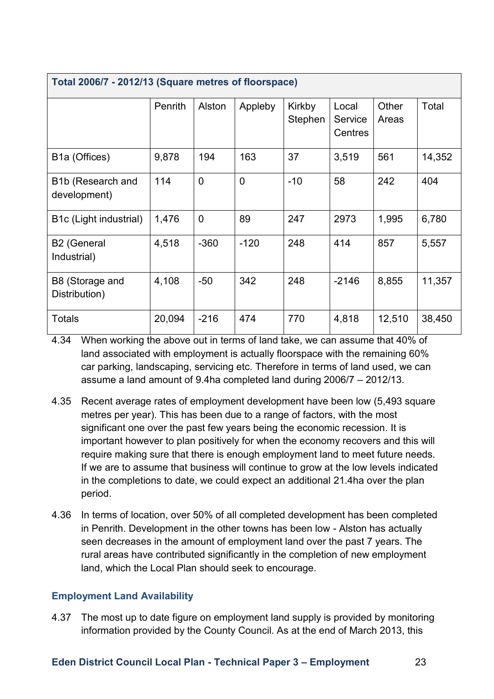| Total 2006/7 - 2012/13 (Square metres of floorspace) |         |                |                |                   |                             |                |        |  |
|------------------------------------------------------|---------|----------------|----------------|-------------------|-----------------------------|----------------|--------|--|
|                                                      | Penrith | Alston         | Appleby        | Kirkby<br>Stephen | Local<br>Service<br>Centres | Other<br>Areas | Total  |  |
| B <sub>1</sub> a (Offices)                           | 9,878   | 194            | 163            | 37                | 3,519                       | 561            | 14,352 |  |
| B1b (Research and<br>development)                    | 114     | $\overline{0}$ | $\overline{0}$ | $-10$             | 58                          | 242            | 404    |  |
| B1c (Light industrial)                               | 1,476   | $\overline{0}$ | 89             | 247               | 2973                        | 1,995          | 6,780  |  |
| B <sub>2</sub> (General<br>Industrial)               | 4,518   | $-360$         | $-120$         | 248               | 414                         | 857            | 5,557  |  |
| B8 (Storage and<br>Distribution)                     | 4,108   | $-50$          | 342            | 248               | $-2146$                     | 8,855          | 11,357 |  |
| <b>Totals</b>                                        | 20,094  | $-216$         | 474            | 770               | 4,818                       | 12,510         | 38,450 |  |

**Total 2006/7 - 2012/13 (Square metres of floorspace)**

4.34 When working the above out in terms of land take, we can assume that 40% of land associated with employment is actually floorspace with the remaining 60% car parking, landscaping, servicing etc. Therefore in terms of land used, we can assume a land amount of 9.4ha completed land during 2006/7 – 2012/13.

- 4.35 Recent average rates of employment development have been low (5,493 square metres per year). This has been due to a range of factors, with the most significant one over the past few years being the economic recession. It is important however to plan positively for when the economy recovers and this will require making sure that there is enough employment land to meet future needs. If we are to assume that business will continue to grow at the low levels indicated in the completions to date, we could expect an additional 21.4ha over the plan period.
- 4.36 In terms of location, over 50% of all completed development has been completed in Penrith. Development in the other towns has been low - Alston has actually seen decreases in the amount of employment land over the past 7 years. The rural areas have contributed significantly in the completion of new employment land, which the Local Plan should seek to encourage.

## **Employment Land Availability**

4.37 The most up to date figure on employment land supply is provided by monitoring information provided by the County Council. As at the end of March 2013, this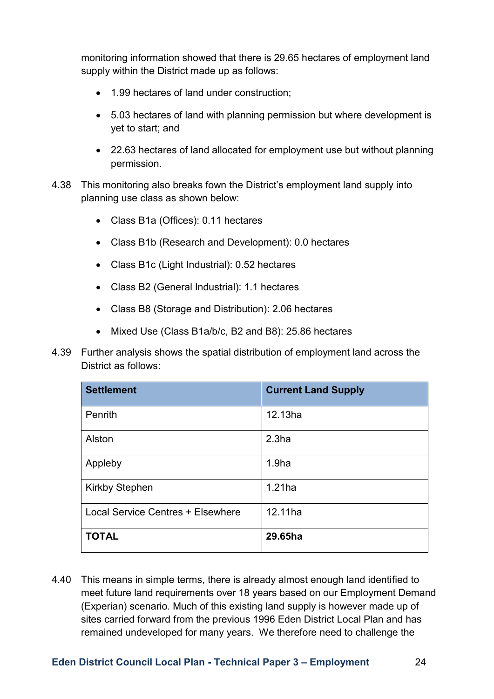monitoring information showed that there is 29.65 hectares of employment land supply within the District made up as follows:

- 1.99 hectares of land under construction;
- 5.03 hectares of land with planning permission but where development is yet to start; and
- 22.63 hectares of land allocated for employment use but without planning permission.
- 4.38 This monitoring also breaks fown the District's employment land supply into planning use class as shown below:
	- Class B1a (Offices): 0.11 hectares
	- Class B1b (Research and Development): 0.0 hectares
	- Class B1c (Light Industrial): 0.52 hectares
	- Class B2 (General Industrial): 1.1 hectares
	- Class B8 (Storage and Distribution): 2.06 hectares
	- Mixed Use (Class B1a/b/c, B2 and B8): 25.86 hectares
- 4.39 Further analysis shows the spatial distribution of employment land across the District as follows:

| <b>Settlement</b>                 | <b>Current Land Supply</b> |
|-----------------------------------|----------------------------|
| Penrith                           | 12.13ha                    |
| Alston                            | 2.3 <sub>ha</sub>          |
| Appleby                           | 1.9 <sub>ha</sub>          |
| <b>Kirkby Stephen</b>             | $1.21$ ha                  |
| Local Service Centres + Elsewhere | 12.11ha                    |
| <b>TOTAL</b>                      | 29.65ha                    |

4.40 This means in simple terms, there is already almost enough land identified to meet future land requirements over 18 years based on our Employment Demand (Experian) scenario. Much of this existing land supply is however made up of sites carried forward from the previous 1996 Eden District Local Plan and has remained undeveloped for many years. We therefore need to challenge the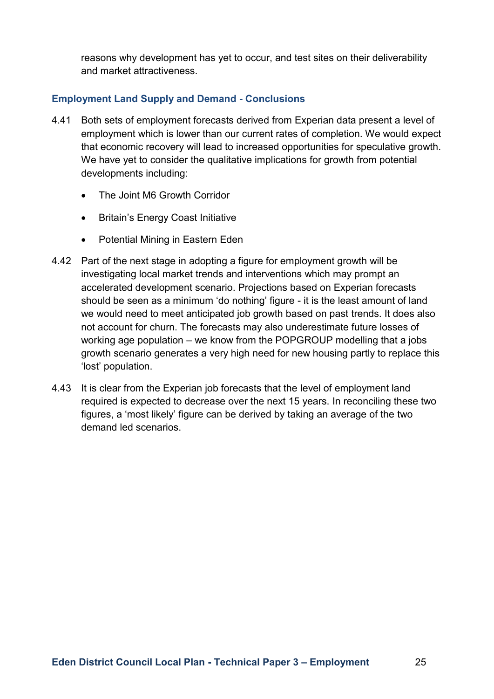reasons why development has yet to occur, and test sites on their deliverability and market attractiveness.

# **Employment Land Supply and Demand - Conclusions**

- 4.41 Both sets of employment forecasts derived from Experian data present a level of employment which is lower than our current rates of completion. We would expect that economic recovery will lead to increased opportunities for speculative growth. We have yet to consider the qualitative implications for growth from potential developments including:
	- The Joint M6 Growth Corridor
	- Britain's Energy Coast Initiative
	- Potential Mining in Eastern Eden
- 4.42 Part of the next stage in adopting a figure for employment growth will be investigating local market trends and interventions which may prompt an accelerated development scenario. Projections based on Experian forecasts should be seen as a minimum 'do nothing' figure - it is the least amount of land we would need to meet anticipated job growth based on past trends. It does also not account for churn. The forecasts may also underestimate future losses of working age population – we know from the POPGROUP modelling that a jobs growth scenario generates a very high need for new housing partly to replace this 'lost' population.
- 4.43 It is clear from the Experian job forecasts that the level of employment land required is expected to decrease over the next 15 years. In reconciling these two figures, a 'most likely' figure can be derived by taking an average of the two demand led scenarios.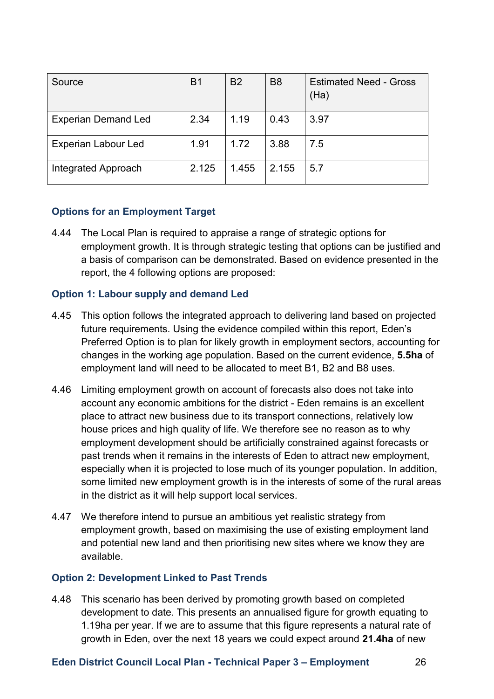| Source                     | B <sub>1</sub> | <b>B2</b> | B <sub>8</sub> | <b>Estimated Need - Gross</b><br>(Ha) |
|----------------------------|----------------|-----------|----------------|---------------------------------------|
| <b>Experian Demand Led</b> | 2.34           | 1.19      | 0.43           | 3.97                                  |
| Experian Labour Led        | 1.91           | 1.72      | 3.88           | 7.5                                   |
| <b>Integrated Approach</b> | 2.125          | 1.455     | 2.155          | 5.7                                   |

# **Options for an Employment Target**

4.44 The Local Plan is required to appraise a range of strategic options for employment growth. It is through strategic testing that options can be justified and a basis of comparison can be demonstrated. Based on evidence presented in the report, the 4 following options are proposed:

## **Option 1: Labour supply and demand Led**

- 4.45 This option follows the integrated approach to delivering land based on projected future requirements. Using the evidence compiled within this report, Eden's Preferred Option is to plan for likely growth in employment sectors, accounting for changes in the working age population. Based on the current evidence, **5.5ha** of employment land will need to be allocated to meet B1, B2 and B8 uses.
- 4.46 Limiting employment growth on account of forecasts also does not take into account any economic ambitions for the district - Eden remains is an excellent place to attract new business due to its transport connections, relatively low house prices and high quality of life. We therefore see no reason as to why employment development should be artificially constrained against forecasts or past trends when it remains in the interests of Eden to attract new employment, especially when it is projected to lose much of its younger population. In addition, some limited new employment growth is in the interests of some of the rural areas in the district as it will help support local services.
- 4.47 We therefore intend to pursue an ambitious yet realistic strategy from employment growth, based on maximising the use of existing employment land and potential new land and then prioritising new sites where we know they are available.

## **Option 2: Development Linked to Past Trends**

4.48 This scenario has been derived by promoting growth based on completed development to date. This presents an annualised figure for growth equating to 1.19ha per year. If we are to assume that this figure represents a natural rate of growth in Eden, over the next 18 years we could expect around **21.4ha** of new

#### **Eden District Council Local Plan - Technical Paper 3 – Employment** 26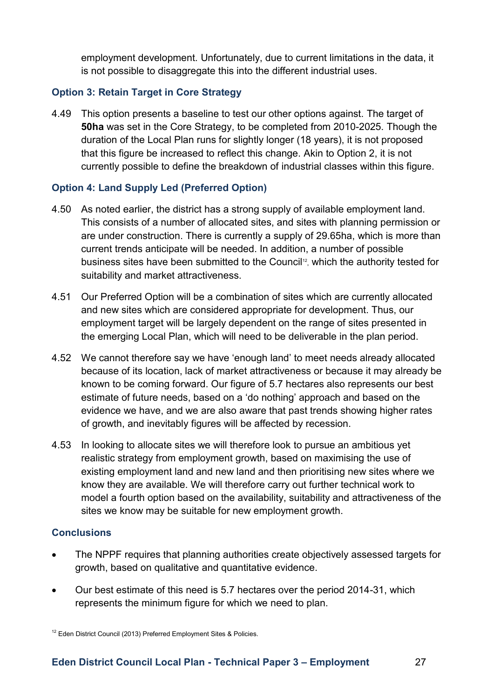employment development. Unfortunately, due to current limitations in the data, it is not possible to disaggregate this into the different industrial uses.

# **Option 3: Retain Target in Core Strategy**

4.49 This option presents a baseline to test our other options against. The target of **50ha** was set in the Core Strategy, to be completed from 2010-2025. Though the duration of the Local Plan runs for slightly longer (18 years), it is not proposed that this figure be increased to reflect this change. Akin to Option 2, it is not currently possible to define the breakdown of industrial classes within this figure.

# **Option 4: Land Supply Led (Preferred Option)**

- 4.50 As noted earlier, the district has a strong supply of available employment land. This consists of a number of allocated sites, and sites with planning permission or are under construction. There is currently a supply of 29.65ha, which is more than current trends anticipate will be needed. In addition, a number of possible business sites have been submitted to the Council<sup>12</sup>, which the authority tested for suitability and market attractiveness.
- 4.51 Our Preferred Option will be a combination of sites which are currently allocated and new sites which are considered appropriate for development. Thus, our employment target will be largely dependent on the range of sites presented in the emerging Local Plan, which will need to be deliverable in the plan period.
- 4.52 We cannot therefore say we have 'enough land' to meet needs already allocated because of its location, lack of market attractiveness or because it may already be known to be coming forward. Our figure of 5.7 hectares also represents our best estimate of future needs, based on a 'do nothing' approach and based on the evidence we have, and we are also aware that past trends showing higher rates of growth, and inevitably figures will be affected by recession.
- 4.53 In looking to allocate sites we will therefore look to pursue an ambitious yet realistic strategy from employment growth, based on maximising the use of existing employment land and new land and then prioritising new sites where we know they are available. We will therefore carry out further technical work to model a fourth option based on the availability, suitability and attractiveness of the sites we know may be suitable for new employment growth.

## **Conclusions**

- The NPPF requires that planning authorities create objectively assessed targets for growth, based on qualitative and quantitative evidence.
- Our best estimate of this need is 5.7 hectares over the period 2014-31, which represents the minimum figure for which we need to plan.

<sup>12</sup> Eden District Council (2013) Preferred Employment Sites & Policies.